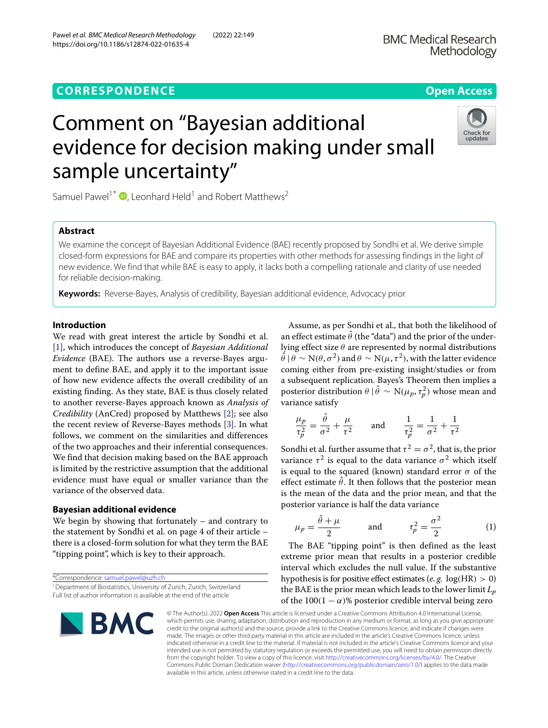## **CORRESPONDENCE Open Access**

# Comment on "Bayesian additional evidence for decision making under small sample uncertainty"

Samuel Pawel<sup>1\*</sup>  $\bullet$ [,](http://orcid.org/0000-0003-2779-320X) Leonhard Held<sup>1</sup> and Robert Matthews<sup>2</sup>

## **Abstract**

We examine the concept of Bayesian Additional Evidence (BAE) recently proposed by Sondhi et al. We derive simple closed-form expressions for BAE and compare its properties with other methods for assessing findings in the light of new evidence. We find that while BAE is easy to apply, it lacks both a compelling rationale and clarity of use needed for reliable decision-making.

**Keywords:** Reverse-Bayes, Analysis of credibility, Bayesian additional evidence, Advocacy prior

## **Introduction**

We read with great interest the article by Sondhi et al. [\[1\]](#page-3-0), which introduces the concept of *Bayesian Additional Evidence* (BAE). The authors use a reverse-Bayes argument to define BAE, and apply it to the important issue of how new evidence affects the overall credibility of an existing finding. As they state, BAE is thus closely related to another reverse-Bayes approach known as *Analysis of Credibility* (AnCred) proposed by Matthews [\[2\]](#page-3-1); see also the recent review of Reverse-Bayes methods [\[3\]](#page-3-2). In what follows, we comment on the similarities and differences of the two approaches and their inferential consequences. We find that decision making based on the BAE approach is limited by the restrictive assumption that the additional evidence must have equal or smaller variance than the variance of the observed data.

## **Bayesian additional evidence**

We begin by showing that fortunately – and contrary to the statement by Sondhi et al. on page 4 of their article – there is a closed-form solution for what they term the BAE "tipping point", which is key to their approach.

\*Correspondence: [samuel.pawel@uzh.ch](mailto: samuel.pawel@uzh.ch)

Assume, as per Sondhi et al., that both the likelihood of an effect estimate  $\hat{\theta}$  (the "data") and the prior of the underlying effect size  $\theta$  are represented by normal distributions  $\hat{\theta}$  |  $\theta \sim N(\theta, \sigma^2)$  and  $\theta \sim N(\mu, \tau^2)$ , with the latter evidence coming either from pre-existing insight/studies or from a subsequent replication. Bayes's Theorem then implies a posterior distribution  $\theta \mid \hat{\theta} \sim \mathrm{N}(\mu_p, \tau_p^2)$  whose mean and variance satisfy

$$
\frac{\mu_p}{\tau_p^2} = \frac{\dot{\theta}}{\sigma^2} + \frac{\mu}{\tau^2} \quad \text{and} \quad \frac{1}{\tau_p^2} = \frac{1}{\sigma^2} + \frac{1}{\tau^2}
$$

Sondhi et al. further assume that  $\tau^2 = \sigma^2$ , that is, the prior variance  $\tau^2$  is equal to the data variance  $\sigma^2$  which itself is equal to the squared (known) standard error  $\sigma$  of the effect estimate  $\hat{\theta}$ . It then follows that the posterior mean is the mean of the data and the prior mean, and that the posterior variance is half the data variance

<span id="page-0-0"></span>
$$
\mu_p = \frac{\hat{\theta} + \mu}{2} \quad \text{and} \quad \tau_p^2 = \frac{\sigma^2}{2} \quad (1)
$$

The BAE "tipping point" is then defined as the least extreme prior mean that results in a posterior credible interval which excludes the null value. If the substantive hypothesis is for positive effect estimates (*e. g.* log(HR) > 0) the BAE is the prior mean which leads to the lower limit *Lp* of the  $100(1 - \alpha)$ % posterior credible interval being zero

© The Author(s). 2022 **Open Access** This article is licensed under a Creative Commons Attribution 4.0 International License, which permits use, sharing, adaptation, distribution and reproduction in any medium or format, as long as you give appropriate credit to the original author(s) and the source, provide a link to the Creative Commons licence, and indicate if changes were made. The images or other third party material in this article are included in the article's Creative Commons licence, unless indicated otherwise in a credit line to the material. If material is not included in the article's Creative Commons licence and your intended use is not permitted by statutory regulation or exceeds the permitted use, you will need to obtain permission directly from the copyright holder. To view a copy of this licence, visit [http://creativecommons.org/licenses/by/4.0/.](http://creativecommons.org/licenses/by/4.0/) The Creative Commons Public Domain Dedication waiver [\(http://creativecommons.org/publicdomain/zero/1.0/\)](http://creativecommons.org/publicdomain/zero/1.0/) applies to the data made available in this article, unless otherwise stated in a credit line to the data.



**BMC** 







<sup>&</sup>lt;sup>1</sup> Department of Biostatistics, University of Zurich, Zurich, Switzerland Full list of author information is available at the end of the article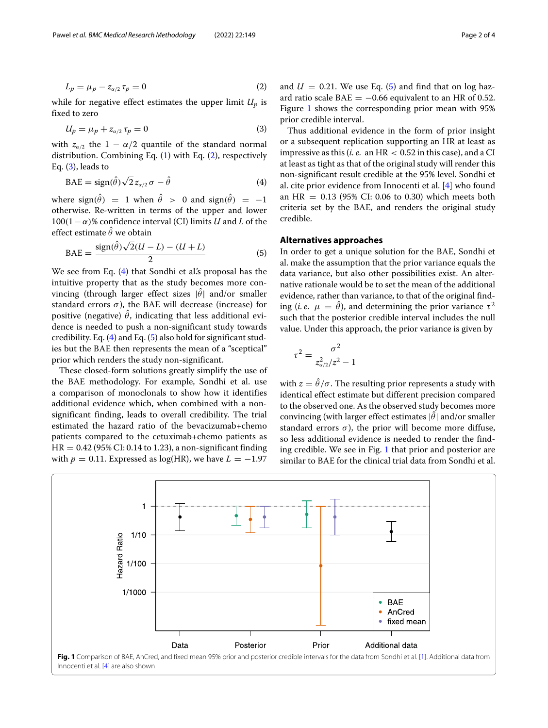$$
L_p = \mu_p - z_{\alpha/2} \tau_p = 0 \tag{2}
$$

while for negative effect estimates the upper limit  $U_p$  is fixed to zero

$$
U_p = \mu_p + z_{\alpha/2} \tau_p = 0 \tag{3}
$$

with  $z_{\alpha/2}$  the 1 −  $\alpha/2$  quantile of the standard normal distribution. Combining Eq. [\(1\)](#page-0-0) with Eq. [\(2\)](#page-1-0), respectively Eq.  $(3)$ , leads to

$$
BAE = sign(\hat{\theta})\sqrt{2}z_{\alpha/2}\sigma - \hat{\theta}
$$
\n(4)

where sign( $\hat{\theta}$ ) = 1 when  $\hat{\theta}$  > 0 and sign( $\hat{\theta}$ ) = -1 otherwise. Re-written in terms of the upper and lower  $100(1-\alpha)$ % confidence interval (CI) limits *U* and *L* of the effect estimate  $\theta$  we obtain

$$
\text{BAE} = \frac{\text{sign}(\hat{\theta})\sqrt{2}(U - L) - (U + L)}{2} \tag{5}
$$

We see from Eq. [\(4\)](#page-1-2) that Sondhi et al's proposal has the intuitive property that as the study becomes more convincing (through larger effect sizes  $|\hat{\theta}|$  and/or smaller standard errors  $\sigma$ ), the BAE will decrease (increase) for positive (negative)  $\hat{\theta}$ , indicating that less additional evidence is needed to push a non-significant study towards credibility. Eq. [\(4\)](#page-1-2) and Eq. [\(5\)](#page-1-3) also hold for significant studies but the BAE then represents the mean of a "sceptical" prior which renders the study non-significant.

These closed-form solutions greatly simplify the use of the BAE methodology. For example, Sondhi et al. use a comparison of monoclonals to show how it identifies additional evidence which, when combined with a nonsignificant finding, leads to overall credibility. The trial estimated the hazard ratio of the bevacizumab+chemo patients compared to the cetuximab+chemo patients as  $HR = 0.42$  (95% CI: 0.14 to 1.23), a non-significant finding with  $p = 0.11$ . Expressed as log(HR), we have  $L = -1.97$ 

<span id="page-1-0"></span>and  $U = 0.21$ . We use Eq. [\(5\)](#page-1-3) and find that on log hazard ratio scale  $BAE = -0.66$  equivalent to an HR of 0.52. Figure [1](#page-1-4) shows the corresponding prior mean with 95% prior credible interval.

<span id="page-1-2"></span><span id="page-1-1"></span>Thus additional evidence in the form of prior insight or a subsequent replication supporting an HR at least as impressive as this (*i. e.* an HR < 0.52 in this case), and a CI at least as tight as that of the original study will render this non-significant result credible at the 95% level. Sondhi et al. cite prior evidence from Innocenti et al. [\[4\]](#page-3-3) who found an HR =  $0.13$  (95% CI: 0.06 to 0.30) which meets both criteria set by the BAE, and renders the original study credible.

### **Alternatives approaches**

<span id="page-1-3"></span>In order to get a unique solution for the BAE, Sondhi et al. make the assumption that the prior variance equals the data variance, but also other possibilities exist. An alternative rationale would be to set the mean of the additional evidence, rather than variance, to that of the original finding (*i. e.*  $\mu = \hat{\theta}$ ), and determining the prior variance  $\tau^2$ such that the posterior credible interval includes the null value. Under this approach, the prior variance is given by

$$
\tau^2 = \frac{\sigma^2}{z_{\alpha/2}^2/z^2 - 1}
$$

with  $z = \hat{\theta}/\sigma$ . The resulting prior represents a study with identical effect estimate but different precision compared to the observed one. As the observed study becomes more convincing (with larger effect estimates  $|\hat{\theta}|$  and/or smaller standard errors  $\sigma$ ), the prior will become more diffuse, so less additional evidence is needed to render the finding credible. We see in Fig. [1](#page-1-4) that prior and posterior are similar to BAE for the clinical trial data from Sondhi et al.

<span id="page-1-4"></span>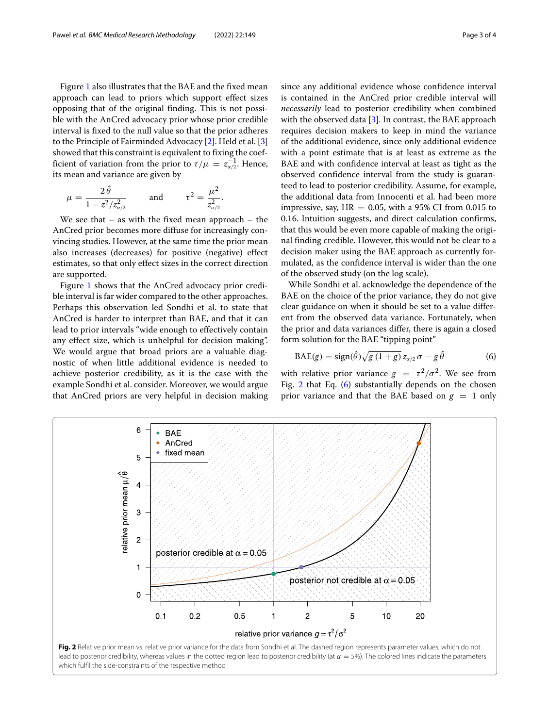Figure [1](#page-1-4) also illustrates that the BAE and the fixed mean approach can lead to priors which support effect sizes opposing that of the original finding. This is not possible with the AnCred advocacy prior whose prior credible interval is fixed to the null value so that the prior adheres to the Principle of Fairminded Advocacy [\[2\]](#page-3-1). Held et al. [\[3\]](#page-3-2) showed that this constraint is equivalent to fixing the coefficient of variation from the prior to  $\tau/\mu = z_{\alpha/2}^{-1}$ . Hence, its mean and variance are given by

$$
\mu = \frac{2\hat{\theta}}{1 - z^2/z_{\alpha/2}^2}
$$
 and  $\tau^2 = \frac{\mu^2}{z_{\alpha/2}^2}$ .

We see that – as with the fixed mean approach – the AnCred prior becomes more diffuse for increasingly convincing studies. However, at the same time the prior mean also increases (decreases) for positive (negative) effect estimates, so that only effect sizes in the correct direction are supported.

Figure [1](#page-1-4) shows that the AnCred advocacy prior credible interval is far wider compared to the other approaches. Perhaps this observation led Sondhi et al. to state that AnCred is harder to interpret than BAE, and that it can lead to prior intervals "wide enough to effectively contain any effect size, which is unhelpful for decision making". We would argue that broad priors are a valuable diagnostic of when little additional evidence is needed to achieve posterior credibility, as it is the case with the example Sondhi et al. consider. Moreover, we would argue that AnCred priors are very helpful in decision making since any additional evidence whose confidence interval is contained in the AnCred prior credible interval will *necessarily* lead to posterior credibility when combined with the observed data  $[3]$ . In contrast, the BAE approach requires decision makers to keep in mind the variance of the additional evidence, since only additional evidence with a point estimate that is at least as extreme as the BAE and with confidence interval at least as tight as the observed confidence interval from the study is guaranteed to lead to posterior credibility. Assume, for example, the additional data from Innocenti et al. had been more impressive, say,  $HR = 0.05$ , with a 95% CI from 0.015 to 0.16. Intuition suggests, and direct calculation confirms, that this would be even more capable of making the original finding credible. However, this would not be clear to a decision maker using the BAE approach as currently formulated, as the confidence interval is wider than the one of the observed study (on the log scale).

While Sondhi et al. acknowledge the dependence of the BAE on the choice of the prior variance, they do not give clear guidance on when it should be set to a value different from the observed data variance. Fortunately, when the prior and data variances differ, there is again a closed form solution for the BAE "tipping point"

<span id="page-2-1"></span>
$$
BAE(g) = sign(\hat{\theta})\sqrt{g(1+g)}\,z_{\alpha/2}\,\sigma - g\,\hat{\theta} \tag{6}
$$

with relative prior variance  $g = \tau^2/\sigma^2$ . We see from Fig. [2](#page-2-0) that Eq. [\(6\)](#page-2-1) substantially depends on the chosen prior variance and that the BAE based on  $g = 1$  only

<span id="page-2-0"></span>